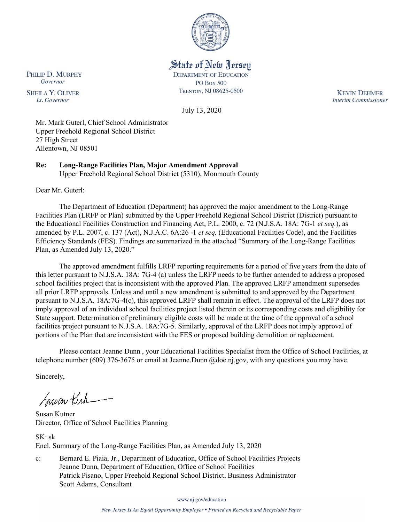

State of New Jersey

**DEPARTMENT OF EDUCATION PO Box 500** 

TRENTON, NJ 08625-0500

July 13, 2020

**KEVIN DEHMER Interim Commissioner** 

Mr. Mark Guterl, Chief School Administrator Upper Freehold Regional School District 27 High Street Allentown, NJ 08501

**Re: Long-Range Facilities Plan, Major Amendment Approval**

Upper Freehold Regional School District (5310), Monmouth County

Dear Mr. Guterl:

PHILIP D. MURPHY

Governor

**SHEILA Y. OLIVER** 

Lt. Governor

The Department of Education (Department) has approved the major amendment to the Long-Range Facilities Plan (LRFP or Plan) submitted by the Upper Freehold Regional School District (District) pursuant to the Educational Facilities Construction and Financing Act, P.L. 2000, c. 72 (N.J.S.A. 18A: 7G-1 *et seq.*), as amended by P.L. 2007, c. 137 (Act), N.J.A.C. 6A:26 -1 *et seq.* (Educational Facilities Code), and the Facilities Efficiency Standards (FES). Findings are summarized in the attached "Summary of the Long-Range Facilities Plan, as Amended July 13, 2020."

The approved amendment fulfills LRFP reporting requirements for a period of five years from the date of this letter pursuant to N.J.S.A. 18A: 7G-4 (a) unless the LRFP needs to be further amended to address a proposed school facilities project that is inconsistent with the approved Plan. The approved LRFP amendment supersedes all prior LRFP approvals. Unless and until a new amendment is submitted to and approved by the Department pursuant to N.J.S.A. 18A:7G-4(c), this approved LRFP shall remain in effect. The approval of the LRFP does not imply approval of an individual school facilities project listed therein or its corresponding costs and eligibility for State support. Determination of preliminary eligible costs will be made at the time of the approval of a school facilities project pursuant to N.J.S.A. 18A:7G-5. Similarly, approval of the LRFP does not imply approval of portions of the Plan that are inconsistent with the FES or proposed building demolition or replacement.

Please contact Jeanne Dunn , your Educational Facilities Specialist from the Office of School Facilities, at telephone number (609) 376-3675 or email at Jeanne.Dunn @doe.nj.gov, with any questions you may have.

Sincerely,

Susan Kich

Susan Kutner Director, Office of School Facilities Planning

SK: sk Encl. Summary of the Long-Range Facilities Plan, as Amended July 13, 2020

c: Bernard E. Piaia, Jr., Department of Education, Office of School Facilities Projects Jeanne Dunn, Department of Education, Office of School Facilities Patrick Pisano, Upper Freehold Regional School District, Business Administrator Scott Adams, Consultant

www.nj.gov/education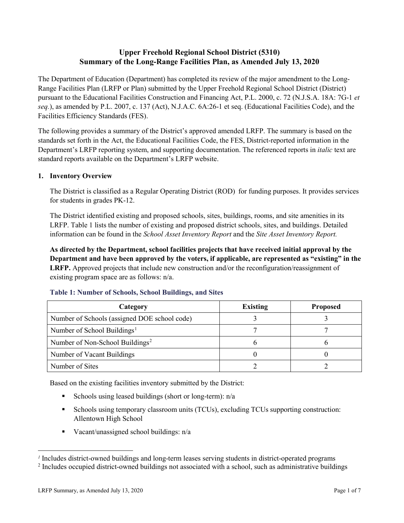# **Upper Freehold Regional School District (5310) Summary of the Long-Range Facilities Plan, as Amended July 13, 2020**

The Department of Education (Department) has completed its review of the major amendment to the Long-Range Facilities Plan (LRFP or Plan) submitted by the Upper Freehold Regional School District (District) pursuant to the Educational Facilities Construction and Financing Act, P.L. 2000, c. 72 (N.J.S.A. 18A: 7G-1 *et seq.*), as amended by P.L. 2007, c. 137 (Act), N.J.A.C. 6A:26-1 et seq. (Educational Facilities Code), and the Facilities Efficiency Standards (FES).

The following provides a summary of the District's approved amended LRFP. The summary is based on the standards set forth in the Act, the Educational Facilities Code, the FES, District-reported information in the Department's LRFP reporting system, and supporting documentation. The referenced reports in *italic* text are standard reports available on the Department's LRFP website.

## **1. Inventory Overview**

The District is classified as a Regular Operating District (ROD) for funding purposes. It provides services for students in grades PK-12.

The District identified existing and proposed schools, sites, buildings, rooms, and site amenities in its LRFP. Table 1 lists the number of existing and proposed district schools, sites, and buildings. Detailed information can be found in the *School Asset Inventory Report* and the *Site Asset Inventory Report.*

**As directed by the Department, school facilities projects that have received initial approval by the Department and have been approved by the voters, if applicable, are represented as "existing" in the LRFP.** Approved projects that include new construction and/or the reconfiguration/reassignment of existing program space are as follows: n/a.

| Category                                     | <b>Existing</b> | <b>Proposed</b> |
|----------------------------------------------|-----------------|-----------------|
| Number of Schools (assigned DOE school code) |                 |                 |
| Number of School Buildings <sup>1</sup>      |                 |                 |
| Number of Non-School Buildings <sup>2</sup>  |                 |                 |
| Number of Vacant Buildings                   |                 |                 |
| Number of Sites                              |                 |                 |

#### **Table 1: Number of Schools, School Buildings, and Sites**

Based on the existing facilities inventory submitted by the District:

- Schools using leased buildings (short or long-term):  $n/a$
- Schools using temporary classroom units (TCUs), excluding TCUs supporting construction: Allentown High School
- Vacant/unassigned school buildings: n/a

 $\overline{a}$ 

<span id="page-1-0"></span>*<sup>1</sup>* Includes district-owned buildings and long-term leases serving students in district-operated programs

<span id="page-1-1"></span><sup>&</sup>lt;sup>2</sup> Includes occupied district-owned buildings not associated with a school, such as administrative buildings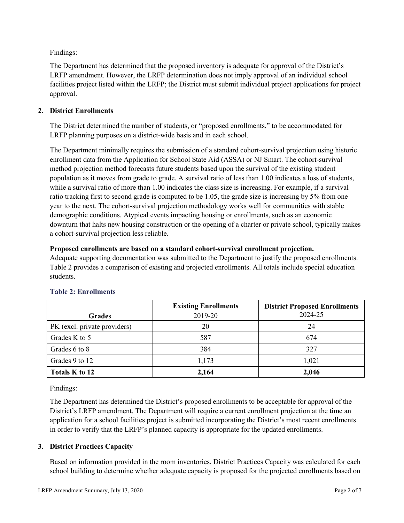Findings:

The Department has determined that the proposed inventory is adequate for approval of the District's LRFP amendment. However, the LRFP determination does not imply approval of an individual school facilities project listed within the LRFP; the District must submit individual project applications for project approval.

## **2. District Enrollments**

The District determined the number of students, or "proposed enrollments," to be accommodated for LRFP planning purposes on a district-wide basis and in each school.

The Department minimally requires the submission of a standard cohort-survival projection using historic enrollment data from the Application for School State Aid (ASSA) or NJ Smart. The cohort-survival method projection method forecasts future students based upon the survival of the existing student population as it moves from grade to grade. A survival ratio of less than 1.00 indicates a loss of students, while a survival ratio of more than 1.00 indicates the class size is increasing. For example, if a survival ratio tracking first to second grade is computed to be 1.05, the grade size is increasing by 5% from one year to the next. The cohort-survival projection methodology works well for communities with stable demographic conditions. Atypical events impacting housing or enrollments, such as an economic downturn that halts new housing construction or the opening of a charter or private school, typically makes a cohort-survival projection less reliable.

#### **Proposed enrollments are based on a standard cohort-survival enrollment projection.**

Adequate supporting documentation was submitted to the Department to justify the proposed enrollments. Table 2 provides a comparison of existing and projected enrollments. All totals include special education students.

|                              | <b>Existing Enrollments</b> | <b>District Proposed Enrollments</b> |
|------------------------------|-----------------------------|--------------------------------------|
| <b>Grades</b>                | 2019-20                     | 2024-25                              |
| PK (excl. private providers) | 20                          | 24                                   |
| Grades K to 5                | 587                         | 674                                  |
| Grades 6 to 8                | 384                         | 327                                  |
| Grades 9 to 12               | 1,173                       | 1,021                                |
| Totals K to 12               | 2,164                       | 2,046                                |

## **Table 2: Enrollments**

Findings:

The Department has determined the District's proposed enrollments to be acceptable for approval of the District's LRFP amendment. The Department will require a current enrollment projection at the time an application for a school facilities project is submitted incorporating the District's most recent enrollments in order to verify that the LRFP's planned capacity is appropriate for the updated enrollments.

## **3. District Practices Capacity**

Based on information provided in the room inventories, District Practices Capacity was calculated for each school building to determine whether adequate capacity is proposed for the projected enrollments based on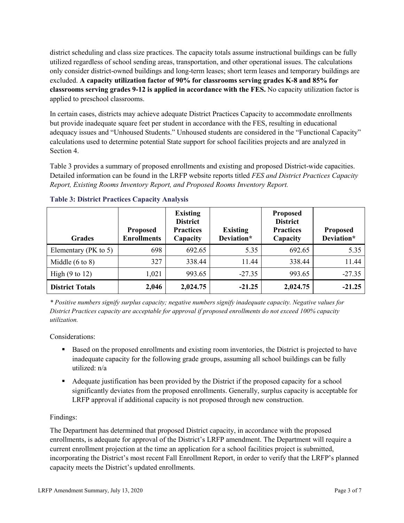district scheduling and class size practices. The capacity totals assume instructional buildings can be fully utilized regardless of school sending areas, transportation, and other operational issues. The calculations only consider district-owned buildings and long-term leases; short term leases and temporary buildings are excluded. **A capacity utilization factor of 90% for classrooms serving grades K-8 and 85% for classrooms serving grades 9-12 is applied in accordance with the FES.** No capacity utilization factor is applied to preschool classrooms.

In certain cases, districts may achieve adequate District Practices Capacity to accommodate enrollments but provide inadequate square feet per student in accordance with the FES, resulting in educational adequacy issues and "Unhoused Students." Unhoused students are considered in the "Functional Capacity" calculations used to determine potential State support for school facilities projects and are analyzed in Section 4.

Table 3 provides a summary of proposed enrollments and existing and proposed District-wide capacities. Detailed information can be found in the LRFP website reports titled *FES and District Practices Capacity Report, Existing Rooms Inventory Report, and Proposed Rooms Inventory Report.*

| <b>Grades</b>              | <b>Proposed</b><br><b>Enrollments</b> | <b>Existing</b><br><b>District</b><br><b>Practices</b><br>Capacity | <b>Existing</b><br>Deviation* | <b>Proposed</b><br><b>District</b><br><b>Practices</b><br>Capacity | <b>Proposed</b><br>Deviation* |
|----------------------------|---------------------------------------|--------------------------------------------------------------------|-------------------------------|--------------------------------------------------------------------|-------------------------------|
| Elementary ( $PK$ to 5)    | 698                                   | 692.65                                                             | 5.35                          | 692.65                                                             | 5.35                          |
| Middle $(6 \text{ to } 8)$ | 327                                   | 338.44                                                             | 11.44                         | 338.44                                                             | 11.44                         |
| High $(9 \text{ to } 12)$  | 1,021                                 | 993.65                                                             | $-27.35$                      | 993.65                                                             | $-27.35$                      |
| <b>District Totals</b>     | 2,046                                 | 2,024.75                                                           | $-21.25$                      | 2,024.75                                                           | $-21.25$                      |

## **Table 3: District Practices Capacity Analysis**

*\* Positive numbers signify surplus capacity; negative numbers signify inadequate capacity. Negative values for District Practices capacity are acceptable for approval if proposed enrollments do not exceed 100% capacity utilization.*

Considerations:

- Based on the proposed enrollments and existing room inventories, the District is projected to have inadequate capacity for the following grade groups, assuming all school buildings can be fully utilized: n/a
- Adequate justification has been provided by the District if the proposed capacity for a school significantly deviates from the proposed enrollments. Generally, surplus capacity is acceptable for LRFP approval if additional capacity is not proposed through new construction.

## Findings:

The Department has determined that proposed District capacity, in accordance with the proposed enrollments, is adequate for approval of the District's LRFP amendment. The Department will require a current enrollment projection at the time an application for a school facilities project is submitted, incorporating the District's most recent Fall Enrollment Report, in order to verify that the LRFP's planned capacity meets the District's updated enrollments.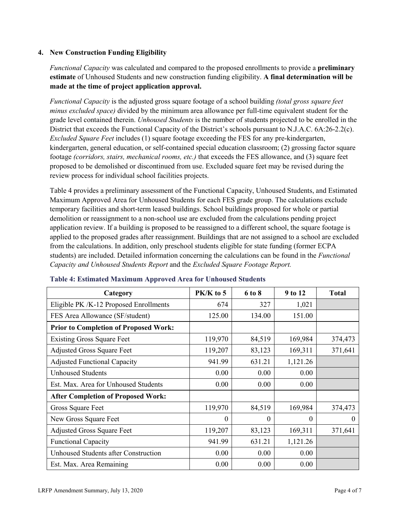## **4. New Construction Funding Eligibility**

*Functional Capacity* was calculated and compared to the proposed enrollments to provide a **preliminary estimate** of Unhoused Students and new construction funding eligibility. **A final determination will be made at the time of project application approval.**

*Functional Capacity* is the adjusted gross square footage of a school building *(total gross square feet minus excluded space)* divided by the minimum area allowance per full-time equivalent student for the grade level contained therein. *Unhoused Students* is the number of students projected to be enrolled in the District that exceeds the Functional Capacity of the District's schools pursuant to N.J.A.C. 6A:26-2.2(c). *Excluded Square Feet* includes (1) square footage exceeding the FES for any pre-kindergarten, kindergarten, general education, or self-contained special education classroom; (2) grossing factor square footage *(corridors, stairs, mechanical rooms, etc.)* that exceeds the FES allowance, and (3) square feet proposed to be demolished or discontinued from use. Excluded square feet may be revised during the review process for individual school facilities projects.

Table 4 provides a preliminary assessment of the Functional Capacity, Unhoused Students, and Estimated Maximum Approved Area for Unhoused Students for each FES grade group. The calculations exclude temporary facilities and short-term leased buildings. School buildings proposed for whole or partial demolition or reassignment to a non-school use are excluded from the calculations pending project application review. If a building is proposed to be reassigned to a different school, the square footage is applied to the proposed grades after reassignment. Buildings that are not assigned to a school are excluded from the calculations. In addition, only preschool students eligible for state funding (former ECPA students) are included. Detailed information concerning the calculations can be found in the *Functional Capacity and Unhoused Students Report* and the *Excluded Square Footage Report.*

| Category                                     | PK/K to 5 | 6 to 8 | 9 to 12  | <b>Total</b> |
|----------------------------------------------|-----------|--------|----------|--------------|
| Eligible PK /K-12 Proposed Enrollments       | 674       | 327    | 1,021    |              |
| FES Area Allowance (SF/student)              | 125.00    | 134.00 | 151.00   |              |
| <b>Prior to Completion of Proposed Work:</b> |           |        |          |              |
| <b>Existing Gross Square Feet</b>            | 119,970   | 84,519 | 169,984  | 374,473      |
| <b>Adjusted Gross Square Feet</b>            | 119,207   | 83,123 | 169,311  | 371,641      |
| <b>Adjusted Functional Capacity</b>          | 941.99    | 631.21 | 1,121.26 |              |
| <b>Unhoused Students</b>                     | 0.00      | 0.00   | 0.00     |              |
| Est. Max. Area for Unhoused Students         | 0.00      | 0.00   | 0.00     |              |
| <b>After Completion of Proposed Work:</b>    |           |        |          |              |
| Gross Square Feet                            | 119,970   | 84,519 | 169,984  | 374,473      |
| New Gross Square Feet                        | $\theta$  | 0      | $\theta$ | $\Omega$     |
| <b>Adjusted Gross Square Feet</b>            | 119,207   | 83,123 | 169,311  | 371,641      |
| <b>Functional Capacity</b>                   | 941.99    | 631.21 | 1,121.26 |              |
| Unhoused Students after Construction         | 0.00      | 0.00   | 0.00     |              |
| Est. Max. Area Remaining                     | 0.00      | 0.00   | 0.00     |              |

#### **Table 4: Estimated Maximum Approved Area for Unhoused Students**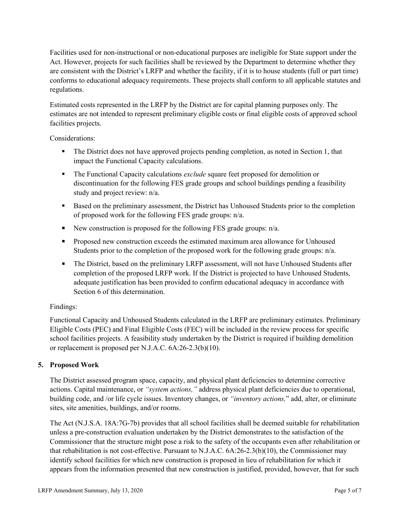Facilities used for non-instructional or non-educational purposes are ineligible for State support under the Act. However, projects for such facilities shall be reviewed by the Department to determine whether they are consistent with the District's LRFP and whether the facility, if it is to house students (full or part time) conforms to educational adequacy requirements. These projects shall conform to all applicable statutes and regulations.

Estimated costs represented in the LRFP by the District are for capital planning purposes only. The estimates are not intended to represent preliminary eligible costs or final eligible costs of approved school facilities projects.

Considerations:

- The District does not have approved projects pending completion, as noted in Section 1, that impact the Functional Capacity calculations.
- **The Functional Capacity calculations** *exclude* square feet proposed for demolition or discontinuation for the following FES grade groups and school buildings pending a feasibility study and project review: n/a.
- Based on the preliminary assessment, the District has Unhoused Students prior to the completion of proposed work for the following FES grade groups: n/a.
- New construction is proposed for the following FES grade groups: n/a.
- Proposed new construction exceeds the estimated maximum area allowance for Unhoused Students prior to the completion of the proposed work for the following grade groups: n/a.
- The District, based on the preliminary LRFP assessment, will not have Unhoused Students after completion of the proposed LRFP work. If the District is projected to have Unhoused Students, adequate justification has been provided to confirm educational adequacy in accordance with Section 6 of this determination.

## Findings:

Functional Capacity and Unhoused Students calculated in the LRFP are preliminary estimates. Preliminary Eligible Costs (PEC) and Final Eligible Costs (FEC) will be included in the review process for specific school facilities projects. A feasibility study undertaken by the District is required if building demolition or replacement is proposed per N.J.A.C. 6A:26-2.3(b)(10).

# **5. Proposed Work**

The District assessed program space, capacity, and physical plant deficiencies to determine corrective actions. Capital maintenance, or *"system actions,"* address physical plant deficiencies due to operational, building code, and /or life cycle issues. Inventory changes, or *"inventory actions,*" add, alter, or eliminate sites, site amenities, buildings, and/or rooms.

The Act (N.J.S.A. 18A:7G-7b) provides that all school facilities shall be deemed suitable for rehabilitation unless a pre-construction evaluation undertaken by the District demonstrates to the satisfaction of the Commissioner that the structure might pose a risk to the safety of the occupants even after rehabilitation or that rehabilitation is not cost-effective. Pursuant to N.J.A.C. 6A:26-2.3(b)(10), the Commissioner may identify school facilities for which new construction is proposed in lieu of rehabilitation for which it appears from the information presented that new construction is justified, provided, however, that for such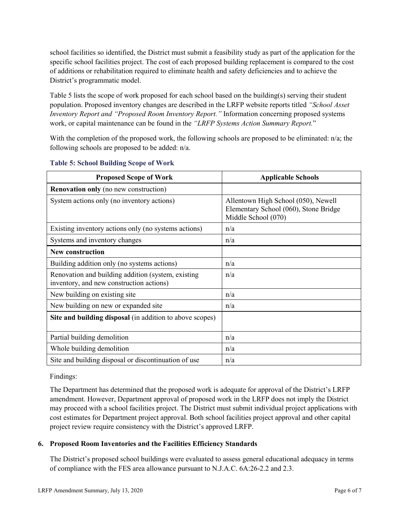school facilities so identified, the District must submit a feasibility study as part of the application for the specific school facilities project. The cost of each proposed building replacement is compared to the cost of additions or rehabilitation required to eliminate health and safety deficiencies and to achieve the District's programmatic model.

Table 5 lists the scope of work proposed for each school based on the building(s) serving their student population. Proposed inventory changes are described in the LRFP website reports titled *"School Asset Inventory Report and "Proposed Room Inventory Report."* Information concerning proposed systems work, or capital maintenance can be found in the *"LRFP Systems Action Summary Report.*"

With the completion of the proposed work, the following schools are proposed to be eliminated: n/a; the following schools are proposed to be added: n/a.

| <b>Proposed Scope of Work</b>                                                                  | <b>Applicable Schools</b>                                                                           |
|------------------------------------------------------------------------------------------------|-----------------------------------------------------------------------------------------------------|
| <b>Renovation only</b> (no new construction)                                                   |                                                                                                     |
| System actions only (no inventory actions)                                                     | Allentown High School (050), Newell<br>Elementary School (060), Stone Bridge<br>Middle School (070) |
| Existing inventory actions only (no systems actions)                                           | n/a                                                                                                 |
| Systems and inventory changes                                                                  | n/a                                                                                                 |
| <b>New construction</b>                                                                        |                                                                                                     |
| Building addition only (no systems actions)                                                    | n/a                                                                                                 |
| Renovation and building addition (system, existing<br>inventory, and new construction actions) | n/a                                                                                                 |
| New building on existing site                                                                  | n/a                                                                                                 |
| New building on new or expanded site                                                           | n/a                                                                                                 |
| Site and building disposal (in addition to above scopes)                                       |                                                                                                     |
| Partial building demolition                                                                    | n/a                                                                                                 |
| Whole building demolition                                                                      | n/a                                                                                                 |
| Site and building disposal or discontinuation of use                                           | n/a                                                                                                 |

#### **Table 5: School Building Scope of Work**

Findings:

The Department has determined that the proposed work is adequate for approval of the District's LRFP amendment. However, Department approval of proposed work in the LRFP does not imply the District may proceed with a school facilities project. The District must submit individual project applications with cost estimates for Department project approval. Both school facilities project approval and other capital project review require consistency with the District's approved LRFP.

## **6. Proposed Room Inventories and the Facilities Efficiency Standards**

The District's proposed school buildings were evaluated to assess general educational adequacy in terms of compliance with the FES area allowance pursuant to N.J.A.C. 6A:26-2.2 and 2.3.